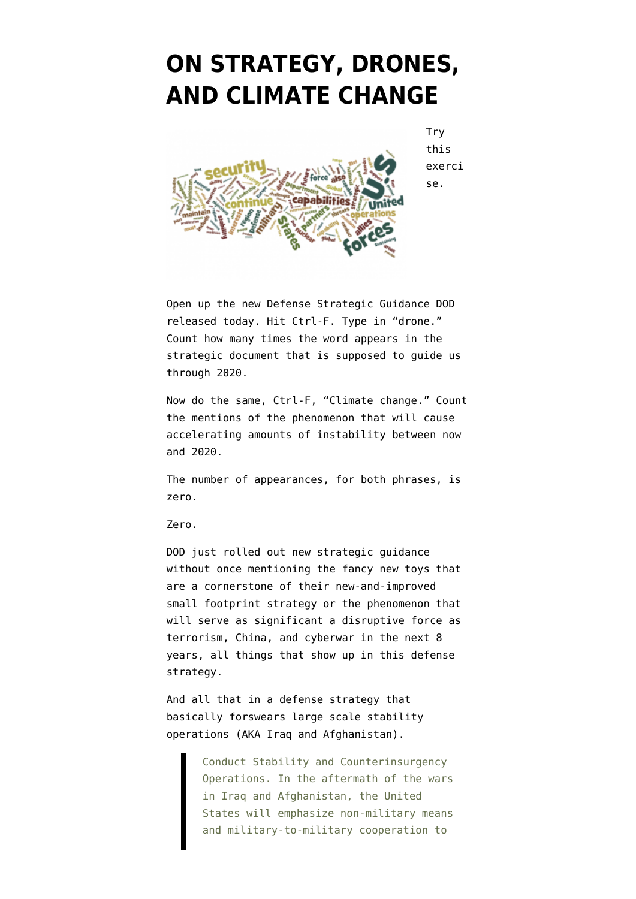## **[ON STRATEGY, DRONES,](https://www.emptywheel.net/2012/01/05/on-strategy-drones-and-climate-change/) [AND CLIMATE CHANGE](https://www.emptywheel.net/2012/01/05/on-strategy-drones-and-climate-change/)**



**Try** this exerci se.

Open up the [new Defense Strategic Guidance](http://www.defense.gov/news/Defense_Strategic_Guidance.pdf) DOD released today. Hit Ctrl-F. Type in "drone." Count how many times the word appears in the strategic document that is supposed to guide us through 2020.

Now do the same, Ctrl-F, "Climate change." Count the mentions of the phenomenon that will cause accelerating amounts of instability between now and 2020.

The number of appearances, for both phrases, is zero.

Zero.

DOD just rolled out new strategic guidance without once mentioning the fancy new toys that are a cornerstone of their new-and-improved small footprint strategy or the phenomenon that will serve as significant a disruptive force as terrorism, China, and cyberwar in the next 8 years, all things that show up in this defense strategy.

And all that in a defense strategy that basically forswears large scale stability operations (AKA Iraq and Afghanistan).

> Conduct Stability and Counterinsurgency Operations. In the aftermath of the wars in Iraq and Afghanistan, the United States will emphasize non-military means and military-to-military cooperation to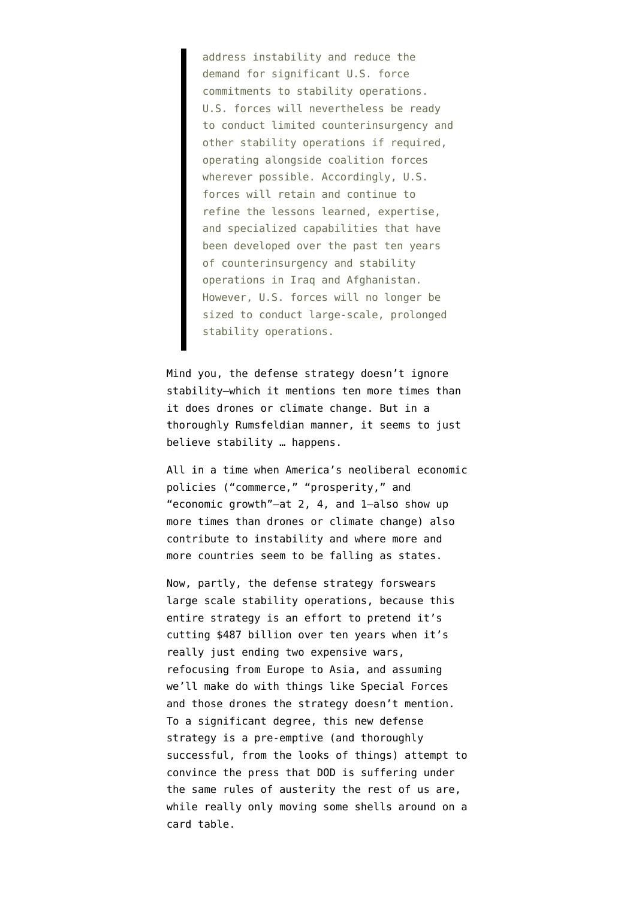address instability and reduce the demand for significant U.S. force commitments to stability operations. U.S. forces will nevertheless be ready to conduct limited counterinsurgency and other stability operations if required, operating alongside coalition forces wherever possible. Accordingly, U.S. forces will retain and continue to refine the lessons learned, expertise, and specialized capabilities that have been developed over the past ten years of counterinsurgency and stability operations in Iraq and Afghanistan. However, U.S. forces will no longer be sized to conduct large-scale, prolonged stability operations.

Mind you, the defense strategy doesn't ignore stability–which it mentions ten more times than it does drones or climate change. But in a thoroughly Rumsfeldian manner, it seems to just believe stability … happens.

All in a time when America's neoliberal economic policies ("commerce," "prosperity," and "economic growth"–at 2, 4, and 1–also show up more times than drones or climate change) also contribute to instability and where more and more countries seem to be falling as states.

Now, partly, the defense strategy forswears large scale stability operations, because this entire strategy is an effort to [pretend](http://news.firedoglake.com/2012/01/05/pentagons-austerity-budget-ignores-second-round-trigger-cuts/) it's cutting \$487 billion over ten years when it's really just ending two expensive wars, refocusing from Europe to Asia, and assuming we'll make do with things like Special Forces and those drones the strategy doesn't mention. To a significant degree, this new defense strategy is a pre-emptive (and [thoroughly](http://www.washingtonpost.com/national/national-security/obama-to-unveil-austere-pentagon-strategy/2012/01/04/gIQAMRBRbP_story_1.html?sub=AR) [successful, from the looks of things](http://www.washingtonpost.com/national/national-security/obama-to-unveil-austere-pentagon-strategy/2012/01/04/gIQAMRBRbP_story_1.html?sub=AR)) attempt to convince the press that DOD is suffering under the same rules of austerity the rest of us are, while really only moving some shells around on a card table.